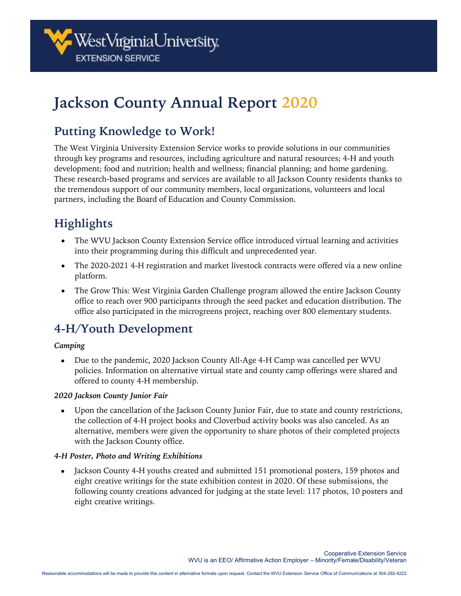

# **Jackson County Annual Report 2020**

## **Putting Knowledge to Work!**

The West Virginia University Extension Service works to provide solutions in our communities through key programs and resources, including agriculture and natural resources; 4-H and youth development; food and nutrition; health and wellness; financial planning; and home gardening. These research-based programs and services are available to all Jackson County residents thanks to the tremendous support of our community members, local organizations, volunteers and local partners, including the Board of Education and County Commission.

## **Highlights**

- The WVU Jackson County Extension Service office introduced virtual learning and activities into their programming during this difficult and unprecedented year.
- The 2020-2021 4-H registration and market livestock contracts were offered via a new online platform.
- The Grow This: West Virginia Garden Challenge program allowed the entire Jackson County office to reach over 900 participants through the seed packet and education distribution. The office also participated in the microgreens project, reaching over 800 elementary students.

## **4-H/Youth Development**

#### *Camping*

• Due to the pandemic, 2020 Jackson County All-Age 4-H Camp was cancelled per WVU policies. Information on alternative virtual state and county camp offerings were shared and offered to county 4-H membership.

#### *2020 Jackson County Junior Fair*

• Upon the cancellation of the Jackson County Junior Fair, due to state and county restrictions, the collection of 4-H project books and Cloverbud activity books was also canceled. As an alternative, members were given the opportunity to share photos of their completed projects with the Jackson County office.

#### *4-H Poster, Photo and Writing Exhibitions*

• Jackson County 4-H youths created and submitted 151 promotional posters, 159 photos and eight creative writings for the state exhibition contest in 2020. Of these submissions, the following county creations advanced for judging at the state level: 117 photos, 10 posters and eight creative writings.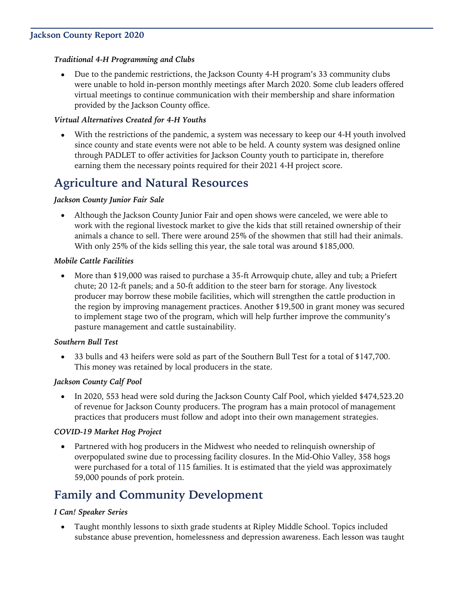#### **Jackson County Report 2020**

#### *Traditional 4-H Programming and Clubs*

• Due to the pandemic restrictions, the Jackson County 4-H program's 33 community clubs were unable to hold in-person monthly meetings after March 2020. Some club leaders offered virtual meetings to continue communication with their membership and share information provided by the Jackson County office.

#### *Virtual Alternatives Created for 4-H Youths*

With the restrictions of the pandemic, a system was necessary to keep our 4-H youth involved since county and state events were not able to be held. A county system was designed online through PADLET to offer activities for Jackson County youth to participate in, therefore earning them the necessary points required for their 2021 4-H project score.

### **Agriculture and Natural Resources**

#### *Jackson County Junior Fair Sale*

• Although the Jackson County Junior Fair and open shows were canceled, we were able to work with the regional livestock market to give the kids that still retained ownership of their animals a chance to sell. There were around 25% of the showmen that still had their animals. With only 25% of the kids selling this year, the sale total was around \$185,000.

#### *Mobile Cattle Facilities*

• More than \$19,000 was raised to purchase a 35-ft Arrowquip chute, alley and tub; a Priefert chute; 20 12-ft panels; and a 50-ft addition to the steer barn for storage. Any livestock producer may borrow these mobile facilities, which will strengthen the cattle production in the region by improving management practices. Another \$19,500 in grant money was secured to implement stage two of the program, which will help further improve the community's pasture management and cattle sustainability.

#### *Southern Bull Test*

• 33 bulls and 43 heifers were sold as part of the Southern Bull Test for a total of \$147,700. This money was retained by local producers in the state.

#### *Jackson County Calf Pool*

• In 2020, 553 head were sold during the Jackson County Calf Pool, which yielded \$474,523.20 of revenue for Jackson County producers. The program has a main protocol of management practices that producers must follow and adopt into their own management strategies.

#### *COVID-19 Market Hog Project*

Partnered with hog producers in the Midwest who needed to relinquish ownership of overpopulated swine due to processing facility closures. In the Mid-Ohio Valley, 358 hogs were purchased for a total of 115 families. It is estimated that the yield was approximately 59,000 pounds of pork protein.

## **Family and Community Development**

#### *I Can! Speaker Series*

• Taught monthly lessons to sixth grade students at Ripley Middle School. Topics included substance abuse prevention, homelessness and depression awareness. Each lesson was taught